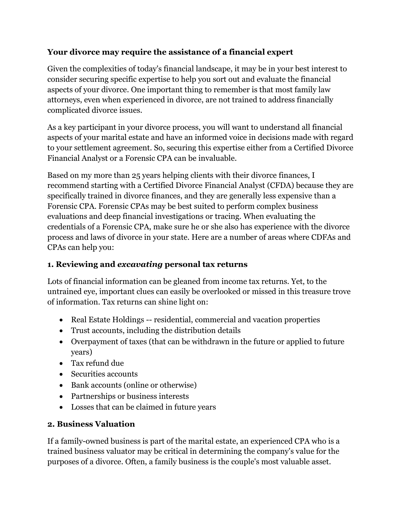### **Your divorce may require the assistance of a financial expert**

Given the complexities of today's financial landscape, it may be in your best interest to consider securing specific expertise to help you sort out and evaluate the financial aspects of your divorce. One important thing to remember is that most family law attorneys, even when experienced in divorce, are not trained to address financially complicated divorce issues.

As a key participant in your divorce process, you will want to understand all financial aspects of your marital estate and have an informed voice in decisions made with regard to your settlement agreement. So, securing this expertise either from a Certified Divorce Financial Analyst or a Forensic CPA can be invaluable.

Based on my more than 25 years helping clients with their divorce finances, I recommend starting with a Certified Divorce Financial Analyst (CFDA) because they are specifically trained in divorce finances, and they are generally less expensive than a Forensic CPA. Forensic CPAs may be best suited to perform complex business evaluations and deep financial investigations or tracing. When evaluating the credentials of a Forensic CPA, make sure he or she also has experience with the divorce process and laws of divorce in your state. Here are a number of areas where CDFAs and CPAs can help you:

### **1. Reviewing and** *excavating* **personal tax returns**

Lots of financial information can be gleaned from income tax returns. Yet, to the untrained eye, important clues can easily be overlooked or missed in this treasure trove of information. Tax returns can shine light on:

- Real Estate Holdings -- residential, commercial and vacation properties
- Trust accounts, including the distribution details
- Overpayment of taxes (that can be withdrawn in the future or applied to future years)
- Tax refund due
- Securities accounts
- Bank accounts (online or otherwise)
- Partnerships or business interests
- Losses that can be claimed in future years

## **2. Business Valuation**

If a family-owned business is part of the marital estate, an experienced CPA who is a trained business valuator may be critical in determining the company's value for the purposes of a divorce. Often, a family business is the couple's most valuable asset.